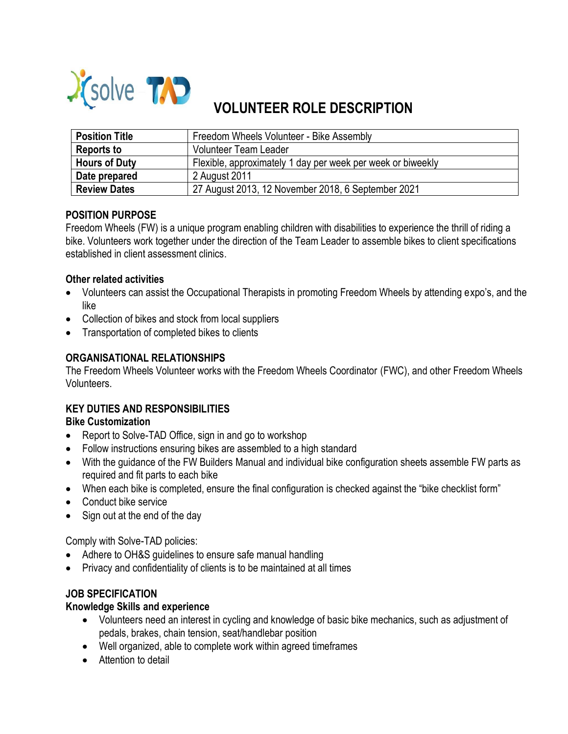

# **VOLUNTEER ROLE DESCRIPTION**

| <b>Position Title</b> | Freedom Wheels Volunteer - Bike Assembly                    |
|-----------------------|-------------------------------------------------------------|
| Reports to            | <b>Volunteer Team Leader</b>                                |
| <b>Hours of Duty</b>  | Flexible, approximately 1 day per week per week or biweekly |
| Date prepared         | 2 August 2011                                               |
| <b>Review Dates</b>   | 27 August 2013, 12 November 2018, 6 September 2021          |

## **POSITION PURPOSE**

Freedom Wheels (FW) is a unique program enabling children with disabilities to experience the thrill of riding a bike. Volunteers work together under the direction of the Team Leader to assemble bikes to client specifications established in client assessment clinics.

## **Other related activities**

- Volunteers can assist the Occupational Therapists in promoting Freedom Wheels by attending expo's, and the like
- Collection of bikes and stock from local suppliers
- Transportation of completed bikes to clients

# **ORGANISATIONAL RELATIONSHIPS**

The Freedom Wheels Volunteer works with the Freedom Wheels Coordinator (FWC), and other Freedom Wheels Volunteers.

# **KEY DUTIES AND RESPONSIBILITIES**

## **Bike Customization**

- Report to Solve-TAD Office, sign in and go to workshop
- Follow instructions ensuring bikes are assembled to a high standard
- With the guidance of the FW Builders Manual and individual bike configuration sheets assemble FW parts as required and fit parts to each bike
- When each bike is completed, ensure the final configuration is checked against the "bike checklist form"
- Conduct bike service
- Sign out at the end of the day

Comply with Solve-TAD policies:

- Adhere to OH&S guidelines to ensure safe manual handling
- Privacy and confidentiality of clients is to be maintained at all times

# **JOB SPECIFICATION**

## **Knowledge Skills and experience**

- Volunteers need an interest in cycling and knowledge of basic bike mechanics, such as adjustment of pedals, brakes, chain tension, seat/handlebar position
- Well organized, able to complete work within agreed timeframes
- Attention to detail